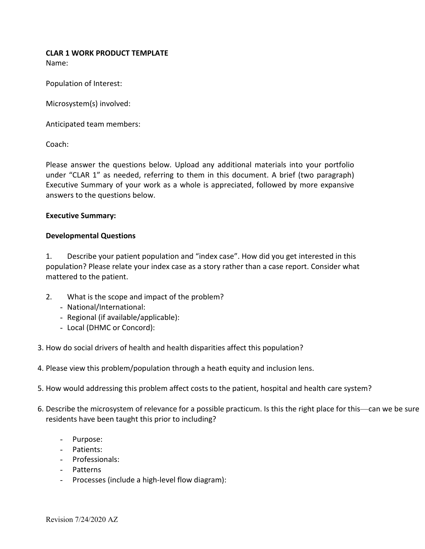## **CLAR 1 WORK PRODUCT TEMPLATE**

Name:

Population of Interest:

Microsystem(s) involved:

Anticipated team members:

Coach:

Please answer the questions below. Upload any additional materials into your portfolio under "CLAR 1" as needed, referring to them in this document. A brief (two paragraph) Executive Summary of your work as a whole is appreciated, followed by more expansive answers to the questions below.

## **Executive Summary:**

## **Developmental Questions**

1. Describe your patient population and "index case". How did you get interested in this population? Please relate your index case as a story rather than a case report. Consider what mattered to the patient.

- 2. What is the scope and impact of the problem?
	- National/International:
	- Regional (if available/applicable):
	- Local (DHMC or Concord):
- 3. How do social drivers of health and health disparities affect this population?
- 4. Please view this problem/population through a heath equity and inclusion lens.
- 5. How would addressing this problem affect costs to the patient, hospital and health care system?
- 6. Describe the microsystem of relevance for a possible practicum. Is this the right place for this—can we be sure residents have been taught this prior to including?
	- Purpose:
	- Patients:
	- Professionals:
	- Patterns
	- Processes (include a high-level flow diagram):